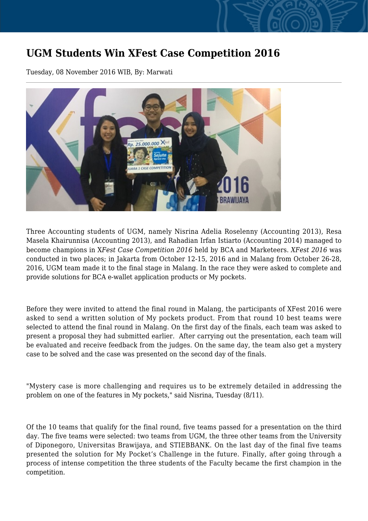## **UGM Students Win XFest Case Competition 2016**

Tuesday, 08 November 2016 WIB, By: Marwati



Three Accounting students of UGM, namely Nisrina Adelia Roselenny (Accounting 2013), Resa Masela Khairunnisa (Accounting 2013), and Rahadian Irfan Istiarto (Accounting 2014) managed to become champions in X*Fest Case Competition 2016* held by BCA and Marketeers. *XFest 2016* was conducted in two places; in Jakarta from October 12-15, 2016 and in Malang from October 26-28, 2016, UGM team made it to the final stage in Malang. In the race they were asked to complete and provide solutions for BCA e-wallet application products or My pockets.

Before they were invited to attend the final round in Malang, the participants of XFest 2016 were asked to send a written solution of My pockets product. From that round 10 best teams were selected to attend the final round in Malang. On the first day of the finals, each team was asked to present a proposal they had submitted earlier. After carrying out the presentation, each team will be evaluated and receive feedback from the judges. On the same day, the team also get a mystery case to be solved and the case was presented on the second day of the finals.

"Mystery case is more challenging and requires us to be extremely detailed in addressing the problem on one of the features in My pockets," said Nisrina, Tuesday (8/11).

Of the 10 teams that qualify for the final round, five teams passed for a presentation on the third day. The five teams were selected: two teams from UGM, the three other teams from the University of Diponegoro, Universitas Brawijaya, and STIEBBANK. On the last day of the final five teams presented the solution for My Pocket's Challenge in the future. Finally, after going through a process of intense competition the three students of the Faculty became the first champion in the competition.